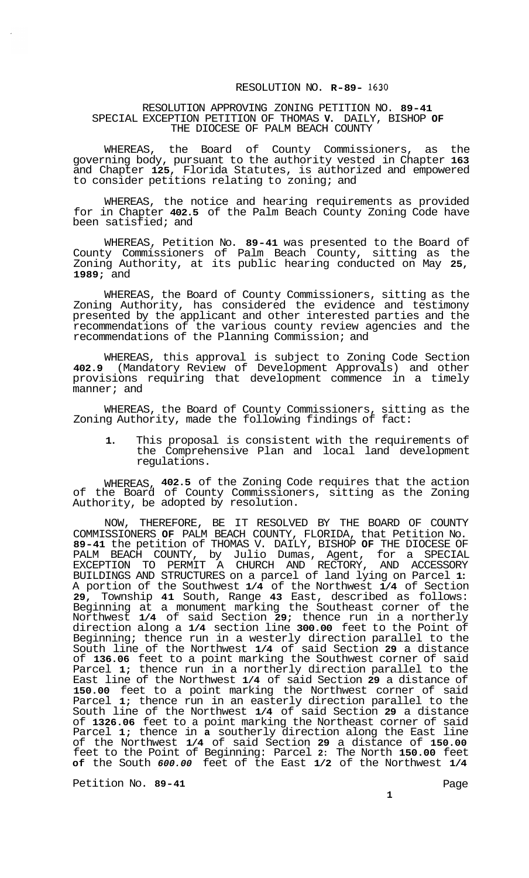## RESOLUTION NO. **R-89- 1630**

## RESOLUTION APPROVING ZONING PETITION NO. **89-41**  SPECIAL EXCEPTION PETITION OF THOMAS **V.** DAILY, BISHOP **OF**  THE DIOCESE OF PALM BEACH COUNTY

WHEREAS, the Board of County Commissioners, as the governing body, pursuant to the authority vested in Chapter **163**  and Chapter **125,** Florida Statutes, is authorized and empowered to consider petitions relating to zoning; and

WHEREAS, the notice and hearing requirements as provided for in Chapter **402.5** of the Palm Beach County Zoning Code have been satisfied; and

WHEREAS, Petition No. **89-41** was presented to the Board of County Commissioners of Palm Beach County, sitting as the Zoning Authority, at its public hearing conducted on May **25, 1989;** and

WHEREAS, the Board of County Commissioners, sitting as the Zoning Authority, has considered the evidence and testimony presented by the applicant and other interested parties and the recommendations of the various county review agencies and the recommendations of the Planning Commission; and

WHEREAS, this approval is subject to Zoning Code Section **402.9** (Mandatory Review of Development Approvals) and other provisions requiring that development commence in a timely manner; and

WHEREAS, the Board of County Commissioners, sitting as the Zoning Authority, made the following findings of fact:

**1.** This proposal is consistent with the requirements of the Comprehensive Plan and local land development regulations.

WHEREAS, **402.5** of the Zoning Code requires that the action of the Board of County Commissioners, sitting as the Zoning Authority, be adopted by resolution.

NOW, THEREFORE, BE IT RESOLVED BY THE BOARD OF COUNTY COMMISSIONERS **OF** PALM BEACH COUNTY, FLORIDA, that Petition No. **89-41** the petition of THOMAS V. DAILY, BISHOP **OF** THE DIOCESE OF PALM BEACH COUNTY, by Julio Dumas, Agent, for a SPECIAL EXCEPTION TO PERMIT A CHURCH AND RECTORY, AND ACCESSORY BUILDINGS AND STRUCTURES on a parcel of land lying on Parcel **1:**  A portion of the Southwest **1/4** of the Northwest **1/4** of Section **29,** Township **41** South, Range **43** East, described as follows: Beginning at a monument marking the Southeast corner of the Northwest **1/4** of said Section **29;** thence run in a northerly direction along a **1/4** section line **300.00** feet to the Point of Beginning; thence run in a westerly direction parallel to the South line of the Northwest **1/4** of said Section **29** a distance of **136.06** feet to a point marking the Southwest corner of said Parcel **1;** thence run in a northerly direction parallel to the East line of the Northwest **1/4** of said Section **29** a distance of **150.00** feet to a point marking the Northwest corner of said Parcel **1;** thence run in an easterly direction parallel to the South line of the Northwest **1/4** of said Section **29** a distance of **1326.06** feet to a point marking the Northeast corner of said Parcel **1;** thence in **a** southerly direction along the East line of the Northwest **1/4** of said Section **29** a distance of **150.00**  feet to the Point of Beginning: Parcel **2:** The North **150.00** feet **of** the South *600.00* feet of the East **1/2** of the Northwest **1/4** 

Petition No. 89-41 **Page**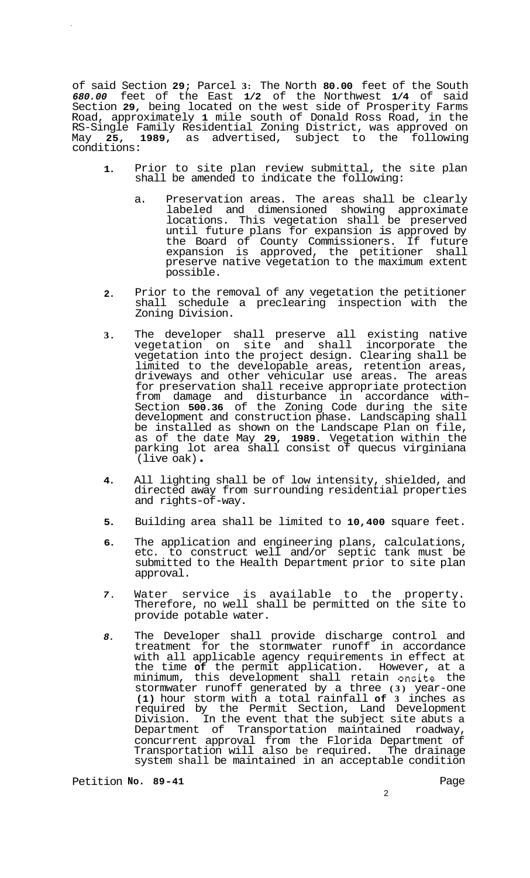of said Section **29;** Parcel **3:** The North **80.00** feet of the South *680.00* feet of the East **1/2** of the Northwest **1/4** of said Section **29,** being located on the west side of Prosperity Farms Road, approximately **1** mile south of Donald Ross Road, in the RS-Single Family Residential Zoning District, was approved on May 25, 1989, as advertised, subject to the following conditions:

- **1.**  Prior to site plan review submittal, the site plan shall be amended to indicate the following:
	- a. Preservation areas. The areas shall be clearly labeled and dimensioned showing approximate locations. This vegetation shall be preserved until future plans for expansion is approved by the Board of County Commissioners. If future expansion is approved, the petitioner shall preserve native vegetation to the maximum extent possible.
- **2.**  Prior to the removal of any vegetation the petitioner shall schedule a preclearing inspection with the Zoning Division.
- **3.**  The developer shall preserve all existing native vegetation on site and shall incorporate the vegetation into the project design. Clearing shall be limited to the developable areas, retention areas, driveways and other vehicular use areas. The areas for preservation shall receive appropriate protection from damage and disturbance in accordance with- Section **500.36** of the Zoning Code during the site development and construction phase. Landscaping shall be installed as shown on the Landscape Plan on file, as of the date May **29, 1989.** Vegetation within the parking lot area shall consist of quecus virginiana (live oak) .
- **4.**  All lighting shall be of low intensity, shielded, and directed away from surrounding residential properties and rights-of-way.
- **5.**  Building area shall be limited to **10,400** square feet.
- **6.**  The application and engineering plans, calculations, etc. to construct well and/or septic tank must be submitted to the Health Department prior to site plan approval.
- *7.*  Water service is available to the property. Therefore, no well shall be permitted on the site to provide potable water.
- *8.*  The Developer shall provide discharge control and treatment for the stormwater runoff in accordance with all applicable agency requirements in effect at the time **of** the permit application. However, at a minimum, this development shall retain onsite the stormwater runoff generated by a three **(3)** year-one **(1)** hour storm with a total rainfall **of 3** inches as required by the Permit Section, Land Development Division. In the event that the subject site abuts a Department of Transportation maintained roadway, concurrent approval from the Florida Department of Transportation will also be required. The drainage system shall be maintained in an acceptable condition

Petition No. 89-41 **Petition No. 89-41**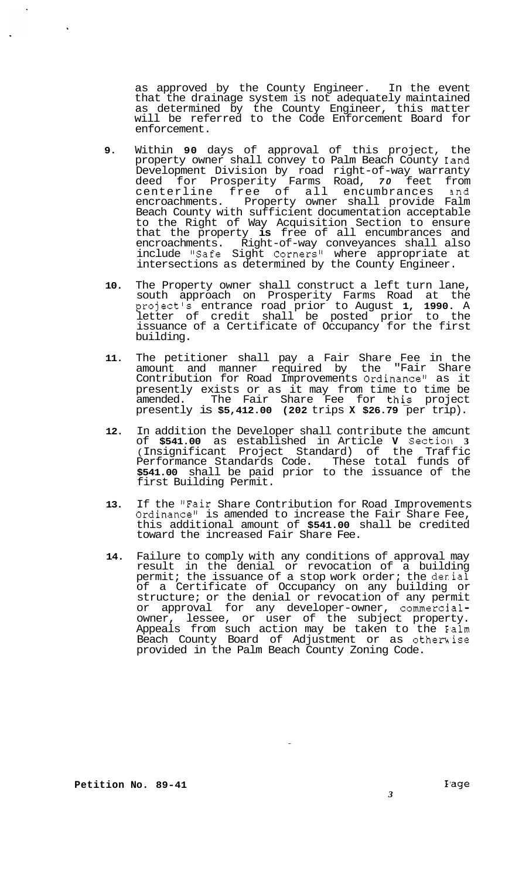as approved by the County Engineer. In the event that the drainage system is not adequately maintained as determined by the County Engineer, this matter will be referred to the Code Enforcement Board for enforcement.

- **9.** Within **90** days of approval of this project, the property owner shall convey to Palm Beach County Iand Development Division by road right-of-way warranty deed for Prosperity Farms Road, *70* feet from centerline free of all encumbrances and encroachments. Property owner shall provide Falm Beach County with sufficient documentation acceptable to the Right of Way Acquisition Section to ensure that the property **is** free of all encumbrances and encroachments. Right-of-way conveyances shall also include "Safe Sight Corners" where appropriate at intersections as determined by the County Engineer.
- **10.** The Property owner shall construct a left turn lane, south approach on Prosperity Farms Road at the project's entrance road prior to August **1, 1990.** A letter of credit shall be posted prior to the issuance of a Certificate of Occupancy for the first building.
- **11.** The petitioner shall pay a Fair Share Fee in the amount and manner required by the "Fair Share Contribution for Road Improvements Ordinance" as it presently exists or as it may from time to time be amended. The Fair Share Fee for thi? project presently is **\$5,412.00 (202** trips **X \$26.79** per trip).
- **12.** In addition the Developer shall contribute the amcunt of **\$541.00** as established in Article **V** Sectioll **3**  (Insignificant Project Standard) of the Traffic Performance Standards Code. These total funds of **\$541.00** shall be paid prior to the issuance of the first Building Permit.
- **13.** If the "Fair Share Contribution for Road Improvements Ordinance<sup>n</sup> is amended to increase the Fair Share Fee, this additional amount of **\$541.00** shall be credited toward the increased Fair Share Fee.
- **14.** Failure to comply with any conditions of approval may result in the denial or revocation of a building permit; the issuance of a stop work order; the derial of a Certificate of Occupancy on any building or structure; or the denial or revocation of any permit or approval for any developer-owner, commercialowner, lessee, or user of the subject property. Appeals from such action may be taken to the E'alm Beach County Board of Adjustment or as othemise provided in the Palm Beach County Zoning Code.

 $\hat{\mathbf{r}}$